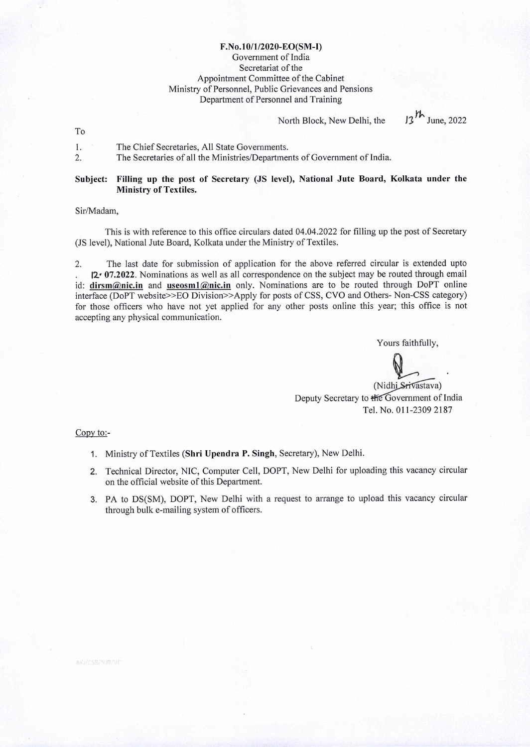## **F.No.10/1/2020-EO(SM-I)**  Government of India Secretariat of the Appointment Committee of the Cabinet Ministry of Personnel, Public Grievances and Pensions Department of Personnel and Training

North Block, New Delhi, the  $13^{h}$  June, 2022

To

| The Chief Secretaries, All State Governments.                             |
|---------------------------------------------------------------------------|
| The Secretaries of all the Ministries/Departments of Government of India. |

## **Subject: Filling up the post of Secretary (JS level), National Jute Board, Kolkata under the Ministry of Textiles.**

Sir/Madam,

This is with reference to this office circulars dated 04.04.2022 for filling up the post of Secretary (iS level), National Jute Board, Kolkata under the Ministry of Textiles.

2. The last date for submission of application for the above referred circular is extended upto 12<sup>-</sup> 07.2022. Nominations as well as all correspondence on the subject may be routed through email id: dirsm@nic.in and useosm1@nic.in only. Nominations are to be routed through DoPT online interface (DoPT website>>EO Division>>Apply for posts of CSS, CVO and Others- Non-CSS category) for those officers who have not yet applied for any other posts online this year; this office is not accepting any physical communication.

Yours faithfully,

(Nidhi Srivastava) Deputy Secretary to  $H \in G$  overnment of India Tel. No. 011-2309 2187

Copy to:-

- 1. Ministry of Textiles **(Shri Upendra P. Singh,** Secretary), New Delhi.
- 2. Technical Director, NIC, Computer Cell, DOPT, New Delhi for uploading this vacancy circular on the official website of this Department.
- 3. PA to DS(SM), DOPT, New Delhi with a request to arrange to upload this vacancy circular through bulk e-mailing system of officers.